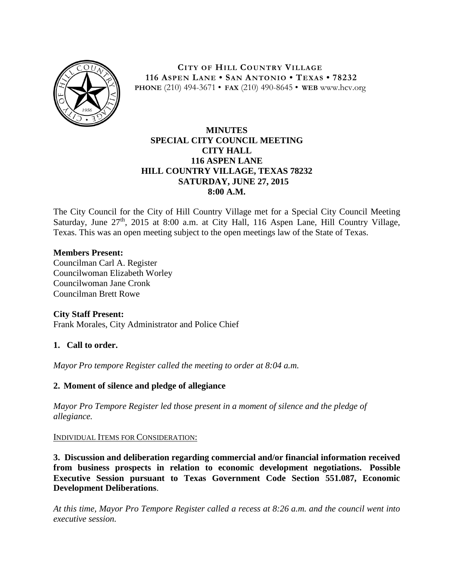

**CITY OF HILL COUNTRY VILLAGE 116 ASPEN LANE • SAN ANTONIO • TEXAS • 78232 PHONE** (210) 494-3671 • **FAX** (210) 490-8645 • **WEB** www.hcv.org

# **MINUTES SPECIAL CITY COUNCIL MEETING CITY HALL 116 ASPEN LANE HILL COUNTRY VILLAGE, TEXAS 78232 SATURDAY, JUNE 27, 2015 8:00 A.M.**

The City Council for the City of Hill Country Village met for a Special City Council Meeting Saturday, June  $27<sup>th</sup>$ , 2015 at 8:00 a.m. at City Hall, 116 Aspen Lane, Hill Country Village, Texas. This was an open meeting subject to the open meetings law of the State of Texas.

# **Members Present:**

Councilman Carl A. Register Councilwoman Elizabeth Worley Councilwoman Jane Cronk Councilman Brett Rowe

### **City Staff Present:**

Frank Morales, City Administrator and Police Chief

### **1. Call to order.**

*Mayor Pro tempore Register called the meeting to order at 8:04 a.m.*

### **2. Moment of silence and pledge of allegiance**

*Mayor Pro Tempore Register led those present in a moment of silence and the pledge of allegiance.*

#### INDIVIDUAL ITEMS FOR CONSIDERATION:

**3. Discussion and deliberation regarding commercial and/or financial information received from business prospects in relation to economic development negotiations. Possible Executive Session pursuant to Texas Government Code Section 551.087, Economic Development Deliberations**.

*At this time, Mayor Pro Tempore Register called a recess at 8:26 a.m. and the council went into executive session.*